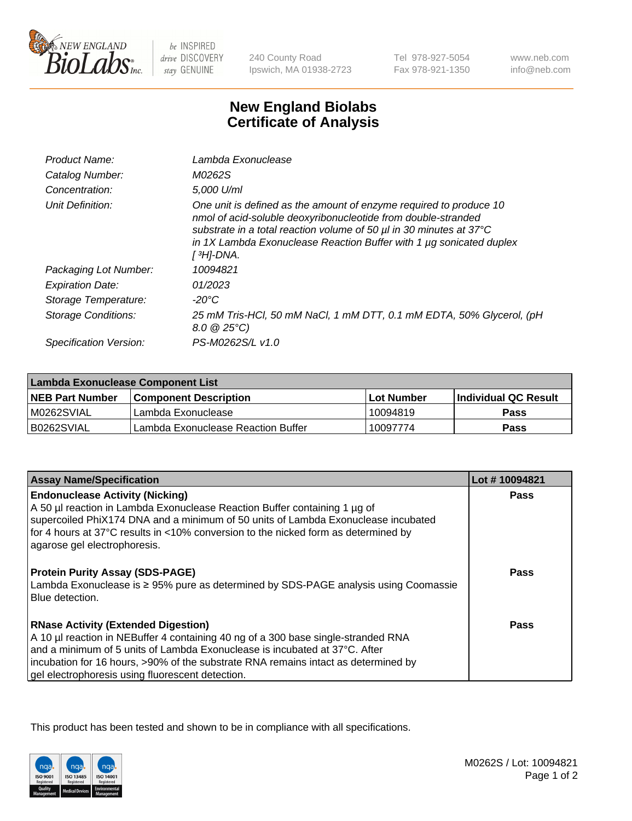

 $be$  INSPIRED drive DISCOVERY stay GENUINE

240 County Road Ipswich, MA 01938-2723

Tel 978-927-5054 Fax 978-921-1350 www.neb.com info@neb.com

## **New England Biolabs Certificate of Analysis**

| Product Name:           | Lambda Exonuclease                                                                                                                                                                                                                                                                                               |
|-------------------------|------------------------------------------------------------------------------------------------------------------------------------------------------------------------------------------------------------------------------------------------------------------------------------------------------------------|
| Catalog Number:         | M0262S                                                                                                                                                                                                                                                                                                           |
| Concentration:          | 5,000 U/ml                                                                                                                                                                                                                                                                                                       |
| Unit Definition:        | One unit is defined as the amount of enzyme required to produce 10<br>nmol of acid-soluble deoxyribonucleotide from double-stranded<br>substrate in a total reaction volume of 50 µl in 30 minutes at 37°C<br>in 1X Lambda Exonuclease Reaction Buffer with 1 $\mu$ g sonicated duplex<br>[ <sup>3</sup> H]-DNA. |
| Packaging Lot Number:   | 10094821                                                                                                                                                                                                                                                                                                         |
| <b>Expiration Date:</b> | 01/2023                                                                                                                                                                                                                                                                                                          |
| Storage Temperature:    | $-20^{\circ}$ C                                                                                                                                                                                                                                                                                                  |
| Storage Conditions:     | 25 mM Tris-HCl, 50 mM NaCl, 1 mM DTT, 0.1 mM EDTA, 50% Glycerol, (pH<br>$8.0 \ @ 25^{\circ}C$                                                                                                                                                                                                                    |
| Specification Version:  | PS-M0262S/L v1.0                                                                                                                                                                                                                                                                                                 |

| Lambda Exonuclease Component List |                                    |            |                             |  |
|-----------------------------------|------------------------------------|------------|-----------------------------|--|
| <b>NEB Part Number</b>            | <b>Component Description</b>       | Lot Number | <b>Individual QC Result</b> |  |
| IM0262SVIAL                       | Lambda Exonuclease                 | 10094819   | <b>Pass</b>                 |  |
| IB0262SVIAL                       | Lambda Exonuclease Reaction Buffer | 10097774   | Pass                        |  |

| <b>Assay Name/Specification</b>                                                     | Lot #10094821 |
|-------------------------------------------------------------------------------------|---------------|
| <b>Endonuclease Activity (Nicking)</b>                                              | <b>Pass</b>   |
| A 50 µl reaction in Lambda Exonuclease Reaction Buffer containing 1 µg of           |               |
| supercoiled PhiX174 DNA and a minimum of 50 units of Lambda Exonuclease incubated   |               |
| for 4 hours at 37°C results in <10% conversion to the nicked form as determined by  |               |
| agarose gel electrophoresis.                                                        |               |
| <b>Protein Purity Assay (SDS-PAGE)</b>                                              | <b>Pass</b>   |
| Lambda Exonuclease is ≥ 95% pure as determined by SDS-PAGE analysis using Coomassie |               |
| Blue detection.                                                                     |               |
|                                                                                     |               |
| <b>RNase Activity (Extended Digestion)</b>                                          | Pass          |
| A 10 µl reaction in NEBuffer 4 containing 40 ng of a 300 base single-stranded RNA   |               |
| and a minimum of 5 units of Lambda Exonuclease is incubated at 37°C. After          |               |
| incubation for 16 hours, >90% of the substrate RNA remains intact as determined by  |               |
| gel electrophoresis using fluorescent detection.                                    |               |

This product has been tested and shown to be in compliance with all specifications.